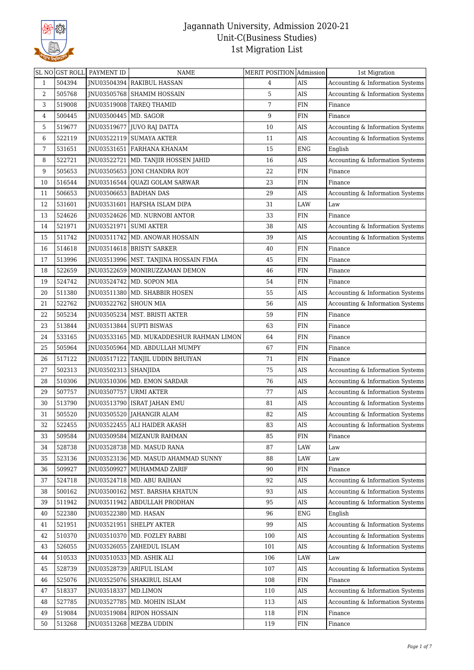

|    |        | SL NO GST ROLL PAYMENT ID | NAME                                       | MERIT POSITION Admission |             | 1st Migration                    |
|----|--------|---------------------------|--------------------------------------------|--------------------------|-------------|----------------------------------|
| 1  | 504394 |                           | JNU03504394 RAKIBUL HASSAN                 | 4                        | <b>AIS</b>  | Accounting & Information Systems |
| 2  | 505768 |                           | JNU03505768 SHAMIM HOSSAIN                 | 5                        | AIS         | Accounting & Information Systems |
| 3  | 519008 |                           | JNU03519008   TAREQ THAMID                 | 7                        | FIN         | Finance                          |
| 4  | 500445 | JNU03500445               | MD. SAGOR                                  | 9                        | <b>FIN</b>  | Finance                          |
| 5  | 519677 |                           | JNU03519677 JJUVO RAJ DATTA                | 10                       | <b>AIS</b>  | Accounting & Information Systems |
| 6  | 522119 | JNU03522119               | <b>SUMAYA AKTER</b>                        | 11                       | AIS         | Accounting & Information Systems |
| 7  | 531651 | JNU03531651               | FARHANA KHANAM                             | 15                       | <b>ENG</b>  | English                          |
| 8  | 522721 | INU03522721               | MD. TANJIR HOSSEN JAHID                    | 16                       | AIS         | Accounting & Information Systems |
| 9  | 505653 | JNU03505653               | JONI CHANDRA ROY                           | 22                       | <b>FIN</b>  | Finance                          |
| 10 | 516544 | INU03516544               | QUAZI GOLAM SARWAR                         | 23                       | <b>FIN</b>  | Finance                          |
| 11 | 506653 | JNU03506653               | <b>BADHAN DAS</b>                          | 29                       | $\rm{AIS}$  | Accounting & Information Systems |
| 12 | 531601 |                           | JNU03531601   HAFSHA ISLAM DIPA            | 31                       | LAW         | Law                              |
| 13 | 524626 | JNU03524626               | MD. NURNOBI ANTOR                          | 33                       | ${\rm FIN}$ | Finance                          |
| 14 | 521971 | JNU03521971               | <b>SUMI AKTER</b>                          | 38                       | AIS         | Accounting & Information Systems |
| 15 | 511742 | JNU03511742               | MD. ANOWAR HOSSAIN                         | 39                       | AIS         | Accounting & Information Systems |
| 16 | 514618 |                           | JNU03514618   BRISTY SARKER                | 40                       | <b>FIN</b>  | Finance                          |
| 17 | 513996 |                           | JNU03513996   MST. TANJINA HOSSAIN FIMA    | 45                       | <b>FIN</b>  | Finance                          |
| 18 | 522659 |                           | JNU03522659   MONIRUZZAMAN DEMON           | $\sqrt{46}$              | ${\rm FIN}$ | Finance                          |
| 19 | 524742 | JNU03524742               | MD. SOPON MIA                              | 54                       | FIN         | Finance                          |
| 20 | 511380 | JNU03511380               | MD. SHABBIR HOSEN                          | 55                       | AIS         | Accounting & Information Systems |
| 21 | 522762 | JNU03522762 SHOUN MIA     |                                            | 56                       | AIS         | Accounting & Information Systems |
| 22 | 505234 | JNU03505234               | MST. BRISTI AKTER                          | 59                       | FIN         | Finance                          |
| 23 | 513844 | JNU03513844               | <b>SUPTI BISWAS</b>                        | 63                       | ${\rm FIN}$ | Finance                          |
| 24 | 533165 |                           | JNU03533165   MD. MUKADDESHUR RAHMAN LIMON | 64                       | FIN         | Finance                          |
| 25 | 505964 |                           | JNU03505964   MD. ABDULLAH MUMPY           | 67                       | FIN         | Finance                          |
| 26 | 517122 | JNU03517122               | TANJIL UDDIN BHUIYAN                       | 71                       | <b>FIN</b>  | Finance                          |
| 27 | 502313 | JNU03502313   SHANJIDA    |                                            | 75                       | AIS         | Accounting & Information Systems |
| 28 | 510306 |                           | JNU03510306   MD. EMON SARDAR              | 76                       | AIS         | Accounting & Information Systems |
| 29 | 507757 | JNU03507757               | <b>URMI AKTER</b>                          | 77                       | AIS         | Accounting & Information Systems |
| 30 | 513790 |                           | JNU03513790   ISRAT JAHAN EMU              | 81                       | AIS         | Accounting & Information Systems |
| 31 | 505520 |                           | JNU03505520   JAHANGIR ALAM                | 82                       | <b>AIS</b>  | Accounting & Information Systems |
| 32 | 522455 |                           | JNU03522455   ALI HAIDER AKASH             | 83                       | AIS         | Accounting & Information Systems |
| 33 | 509584 | JNU03509584               | <b>MIZANUR RAHMAN</b>                      | 85                       | ${\rm FIN}$ | Finance                          |
| 34 | 528738 |                           | JNU03528738   MD. MASUD RANA               | 87                       | LAW         | Law                              |
| 35 | 523136 |                           | JNU03523136   MD. MASUD AHAMMAD SUNNY      | 88                       | LAW         | Law                              |
| 36 | 509927 | INU03509927               | MUHAMMAD ZARIF                             | 90                       | FIN         | Finance                          |
| 37 | 524718 |                           | JNU03524718   MD. ABU RAIHAN               | 92                       | $\rm{AIS}$  | Accounting & Information Systems |
| 38 | 500162 | JNU03500162               | MST. BARSHA KHATUN                         | 93                       | AIS         | Accounting & Information Systems |
| 39 | 511942 | JNU03511942               | ABDULLAH PRODHAN                           | 95                       | AIS         | Accounting & Information Systems |
| 40 | 522380 | JNU03522380   MD. HASAN   |                                            | 96                       | ENG         | English                          |
| 41 | 521951 | JNU03521951               | <b>SHELPY AKTER</b>                        | 99                       | AIS         | Accounting & Information Systems |
| 42 | 510370 | JNU03510370               | MD. FOZLEY RABBI                           | 100                      | AIS         | Accounting & Information Systems |
| 43 | 526055 | JNU03526055               | ZAHEDUL ISLAM                              | 101                      | AIS         | Accounting & Information Systems |
| 44 | 510533 |                           | JNU03510533   MD. ASHIK ALI                | 106                      | LAW         | Law                              |
| 45 | 528739 |                           | JNU03528739 ARIFUL ISLAM                   | 107                      | AIS         | Accounting & Information Systems |
| 46 | 525076 | JNU03525076               | SHAKIRUL ISLAM                             | 108                      | ${\rm FIN}$ | Finance                          |
| 47 | 518337 | JNU03518337               | MD.LIMON                                   | 110                      | AIS         | Accounting & Information Systems |
| 48 | 527785 | JNU03527785               | MD. MOHIN ISLAM                            | 113                      | AIS         | Accounting & Information Systems |
| 49 | 519084 | JNU03519084               | <b>RIPON HOSSAIN</b>                       | 118                      | FIN         | Finance                          |
| 50 | 513268 |                           | JNU03513268   MEZBA UDDIN                  | 119                      | FIN         | Finance                          |
|    |        |                           |                                            |                          |             |                                  |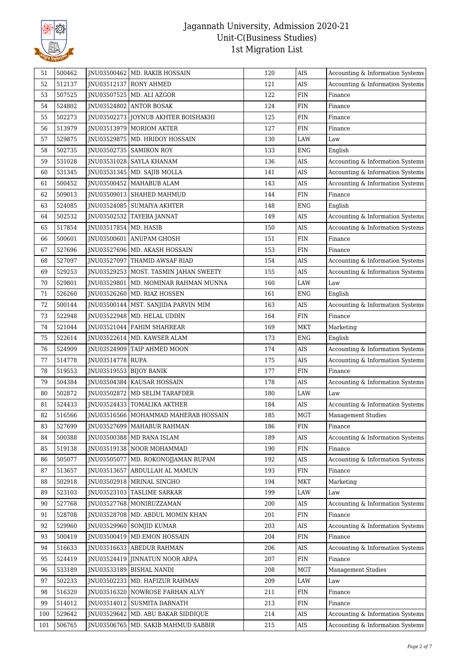

| 51  | 500462 |                         | JNU03500462   MD. RAKIB HOSSAIN         | 120 | <b>AIS</b>  | Accounting & Information Systems |
|-----|--------|-------------------------|-----------------------------------------|-----|-------------|----------------------------------|
| 52  | 512137 |                         | JNU03512137 RONY AHMED                  | 121 | AIS         | Accounting & Information Systems |
| 53  | 507525 |                         | JNU03507525   MD. ALI AZGOR             | 122 | ${\rm FIN}$ | Finance                          |
| 54  | 524802 | JNU03524802             | <b>ANTOR BOSAK</b>                      | 124 | ${\rm FIN}$ | Finance                          |
| 55  | 502273 | JNU03502273             | JOYNUB AKHTER BOISHAKHI                 | 125 | ${\rm FIN}$ | Finance                          |
| 56  | 513979 |                         | JNU03513979   MORIOM AKTER              | 127 | <b>FIN</b>  | Finance                          |
| 57  | 529875 |                         | JNU03529875   MD. HRIDOY HOSSAIN        | 130 | LAW         | Law                              |
| 58  | 502735 |                         | JNU03502735   SAMIRON ROY               | 133 | ${\rm ENG}$ | English                          |
| 59  | 531028 |                         | JNU03531028   SAYLA KHANAM              | 136 | AIS         | Accounting & Information Systems |
| 60  | 531345 | JNU03531345             | MD. SAJIB MOLLA                         | 141 | AIS         | Accounting & Information Systems |
| 61  | 500452 |                         | JNU03500452   MAHABUB ALAM              | 143 | AIS         | Accounting & Information Systems |
| 62  | 509013 | JNU03509013             | <b>SHAHED MAHMUD</b>                    | 144 | ${\rm FIN}$ | Finance                          |
| 63  | 524085 |                         | JNU03524085   SUMAIYA AKHTER            | 148 | <b>ENG</b>  | English                          |
| 64  | 502532 |                         | JNU03502532   TAYEBA JANNAT             | 149 | AIS         | Accounting & Information Systems |
| 65  | 517854 | JNU03517854             | MD. HASIB                               | 150 | <b>AIS</b>  | Accounting & Information Systems |
| 66  | 500601 | JNU03500601             | ANUPAM GHOSH                            | 151 | <b>FIN</b>  | Finance                          |
| 67  | 527696 | INU03527696             | MD. AKASH HOSSAIN                       | 153 | ${\rm FIN}$ | Finance                          |
| 68  | 527097 | JNU03527097             | THAMID AWSAF RIAD                       | 154 | <b>AIS</b>  | Accounting & Information Systems |
| 69  | 529253 |                         | JNU03529253   MOST. TASMIN JAHAN SWEETY | 155 | <b>AIS</b>  | Accounting & Information Systems |
| 70  | 529801 | JNU03529801             | MD. MOMINAR RAHMAN MUNNA                | 160 | LAW         | Law                              |
| 71  | 526260 | JNU03526260             | MD. RIAZ HOSSEN                         | 161 | <b>ENG</b>  | English                          |
| 72  | 500144 | JNU03500144             | MST. SANJIDA PARVIN MIM                 | 163 | AIS         | Accounting & Information Systems |
| 73  | 522948 | JNU03522948             | MD. HELAL UDDIN                         | 164 | <b>FIN</b>  | Finance                          |
| 74  | 521044 | JNU03521044             | FAHIM SHAHREAR                          | 169 | <b>MKT</b>  | Marketing                        |
| 75  | 522614 |                         | JNU03522614   MD. KAWSER ALAM           | 173 | <b>ENG</b>  | English                          |
| 76  | 524909 | JNU03524909             | TAIP AHMED MOON                         | 174 | AIS         | Accounting & Information Systems |
| 77  | 514778 | JNU03514778 RUPA        |                                         | 175 | AIS         | Accounting & Information Systems |
| 78  | 519553 | JNU03519553 BIJOY BANIK |                                         | 177 | ${\rm FIN}$ | Finance                          |
| 79  | 504384 | JNU03504384             | <b>KAUSAR HOSSAIN</b>                   | 178 | AIS         | Accounting & Information Systems |
| 80  | 502872 | JNU03502872             | MD SELIM TARAFDER                       | 180 | LAW         | Law                              |
| 81  | 524433 | JNU03524433             | <b>TOMALIKA AKTHER</b>                  | 184 | <b>AIS</b>  | Accounting & Information Systems |
| 82  | 516566 |                         | JNU03516566   MOHAMMAD MAHERAB HOSSAIN  | 185 | MGT         | <b>Management Studies</b>        |
| 83  | 527699 |                         | JNU03527699   MAHABUR RAHMAN            | 186 | FIN         | Finance                          |
| 84  | 500388 | JNU03500388             | MD RANA ISLAM                           | 189 | AIS         | Accounting & Information Systems |
| 85  | 519138 |                         | JNU03519138 NOOR MOHAMMAD               | 190 | ${\rm FIN}$ | Finance                          |
| 86  | 505077 | JNU03505077             | MD. ROKONOJJAMAN RUPAM                  | 192 | AIS         | Accounting & Information Systems |
| 87  | 513657 | JNU03513657             | ABDULLAH AL MAMUN                       | 193 | FIN         | Finance                          |
| 88  | 502918 |                         | JNU03502918   MRINAL SINGHO             | 194 | <b>MKT</b>  | Marketing                        |
| 89  | 523103 | JNU03523103             | <b>TASLIME SARKAR</b>                   | 199 | LAW         | Law                              |
| 90  | 527768 | JNU03527768             | MONIRUZZAMAN                            | 200 | AIS         | Accounting & Information Systems |
| 91  | 528708 |                         | JNU03528708   MD. ABDUL MOMIN KHAN      | 201 | ${\rm FIN}$ | Finance                          |
| 92  | 529960 | JNU03529960             | <b>SOMJID KUMAR</b>                     | 203 | AIS         | Accounting & Information Systems |
| 93  | 500419 | JNU03500419             | MD.EMON HOSSAIN                         | 204 | ${\rm FIN}$ | Finance                          |
| 94  | 516633 |                         | JNU03516633   ABEDUR RAHMAN             | 206 | AIS         | Accounting & Information Systems |
| 95  | 524419 | JNU03524419             | JINNATUN NOOR ARPA                      | 207 | <b>FIN</b>  | Finance                          |
| 96  | 533189 |                         | JNU03533189   BISHAL NANDI              | 208 | <b>MGT</b>  | Management Studies               |
| 97  | 502233 | JNU03502233             | MD. HAFIZUR RAHMAN                      | 209 | LAW         | Law                              |
| 98  | 516320 |                         | JNU03516320 NOWROSE FARHAN ALVY         | 211 | ${\rm FIN}$ | Finance                          |
| 99  | 514012 |                         | JNU03514012   SUSMITA DABNATH           | 213 | FIN         | Finance                          |
| 100 | 529642 | JNU03529642             | MD. ABU BAKAR SIDDIQUE                  | 214 | $\rm{AIS}$  | Accounting & Information Systems |
| 101 | 506765 |                         | JNU03506765   MD. SAKIB MAHMUD SABBIR   | 215 | $\rm{AIS}$  | Accounting & Information Systems |
|     |        |                         |                                         |     |             |                                  |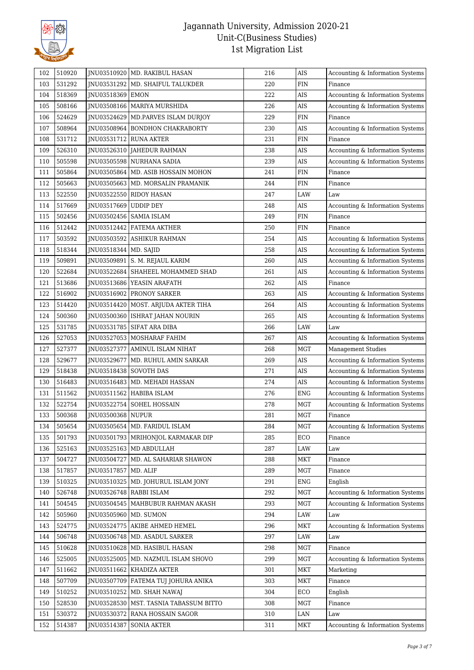

| 531292<br><b>FIN</b><br>JNU03531292   MD. SHAIFUL TALUKDER<br>220<br>103<br>Finance<br>518369<br>222<br>AIS<br>Accounting & Information Systems<br>104<br>JNU03518369 EMON<br>AIS<br>105<br>508166<br>JNU03508166   MARIYA MURSHIDA<br>226<br>Accounting & Information Systems<br>524629<br>229<br>${\rm FIN}$<br>JNU03524629   MD.PARVES ISLAM DURJOY<br>Finance<br>106<br>508964<br>230<br>AIS<br>107<br>JNU03508964   BONDHON CHAKRABORTY<br>Accounting & Information Systems<br>531712<br>231<br><b>FIN</b><br>108<br>JNU03531712   RUNA AKTER<br>Finance<br>526310<br>AIS<br>109<br>JNU03526310 JAHEDUR RAHMAN<br>238<br>Accounting & Information Systems<br>AIS<br>505598<br>JNU03505598 NURHANA SADIA<br>239<br>Accounting & Information Systems<br>110<br>505864<br><b>FIN</b><br>111<br>INU03505864<br>MD. ASIB HOSSAIN MOHON<br>241<br>Finance<br>${\rm FIN}$<br>112<br>505663<br>JNU03505663   MD. MORSALIN PRAMANIK<br>244<br>Finance<br>LAW<br>Law<br>113<br>522550<br>247<br>JNU03522550 RIDOY HASAN<br>517669<br>248<br>AIS<br>Accounting & Information Systems<br>114<br>JNU03517669<br>UDDIP DEY<br>502456<br>JNU03502456   SAMIA ISLAM<br>249<br><b>FIN</b><br>115<br>Finance<br>512442<br>${\rm FIN}$<br>JNU03512442 FATEMA AKTHER<br>250<br>116<br>Finance<br>503592<br>254<br>AIS<br>117<br>JNU03503592<br>ASHIKUR RAHMAN<br>Accounting & Information Systems<br>518344<br>JNU03518344 MD. SAJID<br>258<br>AIS<br>Accounting & Information Systems<br>118<br>509891<br>AIS<br>119<br>JNU03509891 S. M. REJAUL KARIM<br>260<br>Accounting & Information Systems<br>120<br>522684<br>SHAHEEL MOHAMMED SHAD<br>261<br>AIS<br>Accounting & Information Systems<br>JNU03522684<br>AIS<br>513686<br>262<br>121<br>JNU03513686 YEASIN ARAFATH<br>Finance<br>516902<br>263<br>AIS<br>Accounting & Information Systems<br>122<br>JNU03516902   PRONOY SARKER<br>514420<br>264<br>AIS<br>Accounting & Information Systems<br>123<br>JNU03514420  <br>MOST. ARJUDA AKTER TIHA<br>124<br>500360<br>265<br>AIS<br>JNU03500360   ISHRAT JAHAN NOURIN<br>Accounting & Information Systems<br>LAW<br>125<br>531785<br>JNU03531785   SIFAT ARA DIBA<br>266<br>Law<br>267<br>527053<br>AIS<br>Accounting & Information Systems<br>126<br>JNU03527053   MOSHARAF FAHIM<br>527377<br>268<br><b>MGT</b><br>Management Studies<br>127<br>JNU03527377  <br>AMINUL ISLAM NIHAT<br>AIS<br>128<br>529677<br>JNU03529677<br>MD. RUHUL AMIN SARKAR<br>269<br>Accounting & Information Systems<br>AIS<br>518438<br>271<br>Accounting & Information Systems<br>129<br>JNU03518438<br>SOVOTH DAS<br>516483<br>274<br>AIS<br>130<br>JNU03516483<br>MD. MEHADI HASSAN<br>Accounting & Information Systems<br>131<br>511562<br>JNU03511562<br>276<br><b>ENG</b><br>Accounting & Information Systems<br>HABIBA ISLAM<br>522754<br>278<br><b>MGT</b><br>132<br>INU03522754 SOHEL HOSSAIN<br>Accounting & Information Systems<br>133<br>500368<br>JNU03500368 NUPUR<br>281<br><b>MGT</b><br>Finance<br>MGT<br>505654<br>JNU03505654   MD. FARIDUL ISLAM<br>284<br>Accounting & Information Systems<br>134<br>501793<br>ECO<br>INU03501793   MRIHONJOL KARMAKAR DIP<br>285<br>Finance<br>135<br>525163<br>JNU03525163   MD ABDULLAH<br>287<br>LAW<br>136<br>Law<br>504727<br>JNU03504727   MD. AL SAHARIAR SHAWON<br>288<br>MKT<br>Finance<br>137<br>517857<br>JNU03517857   MD. ALIF<br>289<br>MGT<br>Finance<br>138<br>510325<br>JNU03510325   MD. JOHURUL ISLAM JONY<br>291<br><b>ENG</b><br>139<br>English<br>526748<br>JNU03526748   RABBI ISLAM<br>292<br><b>MGT</b><br>Accounting & Information Systems<br>140<br>293<br>MGT<br>504545<br>JNU03504545   MAHBUBUR RAHMAN AKASH<br>Accounting & Information Systems<br>141<br>LAW<br>505960<br>JNU03505960   MD. SUMON<br>294<br>142<br>Law<br>524775<br>MKT<br>Accounting & Information Systems<br>143<br>JNU03524775   AKIBE AHMED HEMEL<br>296<br>506748<br>297<br>LAW<br>JNU03506748   MD. ASADUL SARKER<br>$_{\mbox{\footnotesize{Law}}}$<br>144 | 102 | 510920 | JNU03510920   MD. RAKIBUL HASAN | 216 | <b>AIS</b> | Accounting & Information Systems |
|-------------------------------------------------------------------------------------------------------------------------------------------------------------------------------------------------------------------------------------------------------------------------------------------------------------------------------------------------------------------------------------------------------------------------------------------------------------------------------------------------------------------------------------------------------------------------------------------------------------------------------------------------------------------------------------------------------------------------------------------------------------------------------------------------------------------------------------------------------------------------------------------------------------------------------------------------------------------------------------------------------------------------------------------------------------------------------------------------------------------------------------------------------------------------------------------------------------------------------------------------------------------------------------------------------------------------------------------------------------------------------------------------------------------------------------------------------------------------------------------------------------------------------------------------------------------------------------------------------------------------------------------------------------------------------------------------------------------------------------------------------------------------------------------------------------------------------------------------------------------------------------------------------------------------------------------------------------------------------------------------------------------------------------------------------------------------------------------------------------------------------------------------------------------------------------------------------------------------------------------------------------------------------------------------------------------------------------------------------------------------------------------------------------------------------------------------------------------------------------------------------------------------------------------------------------------------------------------------------------------------------------------------------------------------------------------------------------------------------------------------------------------------------------------------------------------------------------------------------------------------------------------------------------------------------------------------------------------------------------------------------------------------------------------------------------------------------------------------------------------------------------------------------------------------------------------------------------------------------------------------------------------------------------------------------------------------------------------------------------------------------------------------------------------------------------------------------------------------------------------------------------------------------------------------------------------------------------------------------------------------------------------------------------------------------------------------------------------------------------------------------------------------------------------------------------------------------------------------------------------------------------------------------------------------------------------------------------------------------------------|-----|--------|---------------------------------|-----|------------|----------------------------------|
|                                                                                                                                                                                                                                                                                                                                                                                                                                                                                                                                                                                                                                                                                                                                                                                                                                                                                                                                                                                                                                                                                                                                                                                                                                                                                                                                                                                                                                                                                                                                                                                                                                                                                                                                                                                                                                                                                                                                                                                                                                                                                                                                                                                                                                                                                                                                                                                                                                                                                                                                                                                                                                                                                                                                                                                                                                                                                                                                                                                                                                                                                                                                                                                                                                                                                                                                                                                                                                                                                                                                                                                                                                                                                                                                                                                                                                                                                                                                                                                           |     |        |                                 |     |            |                                  |
|                                                                                                                                                                                                                                                                                                                                                                                                                                                                                                                                                                                                                                                                                                                                                                                                                                                                                                                                                                                                                                                                                                                                                                                                                                                                                                                                                                                                                                                                                                                                                                                                                                                                                                                                                                                                                                                                                                                                                                                                                                                                                                                                                                                                                                                                                                                                                                                                                                                                                                                                                                                                                                                                                                                                                                                                                                                                                                                                                                                                                                                                                                                                                                                                                                                                                                                                                                                                                                                                                                                                                                                                                                                                                                                                                                                                                                                                                                                                                                                           |     |        |                                 |     |            |                                  |
|                                                                                                                                                                                                                                                                                                                                                                                                                                                                                                                                                                                                                                                                                                                                                                                                                                                                                                                                                                                                                                                                                                                                                                                                                                                                                                                                                                                                                                                                                                                                                                                                                                                                                                                                                                                                                                                                                                                                                                                                                                                                                                                                                                                                                                                                                                                                                                                                                                                                                                                                                                                                                                                                                                                                                                                                                                                                                                                                                                                                                                                                                                                                                                                                                                                                                                                                                                                                                                                                                                                                                                                                                                                                                                                                                                                                                                                                                                                                                                                           |     |        |                                 |     |            |                                  |
|                                                                                                                                                                                                                                                                                                                                                                                                                                                                                                                                                                                                                                                                                                                                                                                                                                                                                                                                                                                                                                                                                                                                                                                                                                                                                                                                                                                                                                                                                                                                                                                                                                                                                                                                                                                                                                                                                                                                                                                                                                                                                                                                                                                                                                                                                                                                                                                                                                                                                                                                                                                                                                                                                                                                                                                                                                                                                                                                                                                                                                                                                                                                                                                                                                                                                                                                                                                                                                                                                                                                                                                                                                                                                                                                                                                                                                                                                                                                                                                           |     |        |                                 |     |            |                                  |
|                                                                                                                                                                                                                                                                                                                                                                                                                                                                                                                                                                                                                                                                                                                                                                                                                                                                                                                                                                                                                                                                                                                                                                                                                                                                                                                                                                                                                                                                                                                                                                                                                                                                                                                                                                                                                                                                                                                                                                                                                                                                                                                                                                                                                                                                                                                                                                                                                                                                                                                                                                                                                                                                                                                                                                                                                                                                                                                                                                                                                                                                                                                                                                                                                                                                                                                                                                                                                                                                                                                                                                                                                                                                                                                                                                                                                                                                                                                                                                                           |     |        |                                 |     |            |                                  |
|                                                                                                                                                                                                                                                                                                                                                                                                                                                                                                                                                                                                                                                                                                                                                                                                                                                                                                                                                                                                                                                                                                                                                                                                                                                                                                                                                                                                                                                                                                                                                                                                                                                                                                                                                                                                                                                                                                                                                                                                                                                                                                                                                                                                                                                                                                                                                                                                                                                                                                                                                                                                                                                                                                                                                                                                                                                                                                                                                                                                                                                                                                                                                                                                                                                                                                                                                                                                                                                                                                                                                                                                                                                                                                                                                                                                                                                                                                                                                                                           |     |        |                                 |     |            |                                  |
|                                                                                                                                                                                                                                                                                                                                                                                                                                                                                                                                                                                                                                                                                                                                                                                                                                                                                                                                                                                                                                                                                                                                                                                                                                                                                                                                                                                                                                                                                                                                                                                                                                                                                                                                                                                                                                                                                                                                                                                                                                                                                                                                                                                                                                                                                                                                                                                                                                                                                                                                                                                                                                                                                                                                                                                                                                                                                                                                                                                                                                                                                                                                                                                                                                                                                                                                                                                                                                                                                                                                                                                                                                                                                                                                                                                                                                                                                                                                                                                           |     |        |                                 |     |            |                                  |
|                                                                                                                                                                                                                                                                                                                                                                                                                                                                                                                                                                                                                                                                                                                                                                                                                                                                                                                                                                                                                                                                                                                                                                                                                                                                                                                                                                                                                                                                                                                                                                                                                                                                                                                                                                                                                                                                                                                                                                                                                                                                                                                                                                                                                                                                                                                                                                                                                                                                                                                                                                                                                                                                                                                                                                                                                                                                                                                                                                                                                                                                                                                                                                                                                                                                                                                                                                                                                                                                                                                                                                                                                                                                                                                                                                                                                                                                                                                                                                                           |     |        |                                 |     |            |                                  |
|                                                                                                                                                                                                                                                                                                                                                                                                                                                                                                                                                                                                                                                                                                                                                                                                                                                                                                                                                                                                                                                                                                                                                                                                                                                                                                                                                                                                                                                                                                                                                                                                                                                                                                                                                                                                                                                                                                                                                                                                                                                                                                                                                                                                                                                                                                                                                                                                                                                                                                                                                                                                                                                                                                                                                                                                                                                                                                                                                                                                                                                                                                                                                                                                                                                                                                                                                                                                                                                                                                                                                                                                                                                                                                                                                                                                                                                                                                                                                                                           |     |        |                                 |     |            |                                  |
|                                                                                                                                                                                                                                                                                                                                                                                                                                                                                                                                                                                                                                                                                                                                                                                                                                                                                                                                                                                                                                                                                                                                                                                                                                                                                                                                                                                                                                                                                                                                                                                                                                                                                                                                                                                                                                                                                                                                                                                                                                                                                                                                                                                                                                                                                                                                                                                                                                                                                                                                                                                                                                                                                                                                                                                                                                                                                                                                                                                                                                                                                                                                                                                                                                                                                                                                                                                                                                                                                                                                                                                                                                                                                                                                                                                                                                                                                                                                                                                           |     |        |                                 |     |            |                                  |
|                                                                                                                                                                                                                                                                                                                                                                                                                                                                                                                                                                                                                                                                                                                                                                                                                                                                                                                                                                                                                                                                                                                                                                                                                                                                                                                                                                                                                                                                                                                                                                                                                                                                                                                                                                                                                                                                                                                                                                                                                                                                                                                                                                                                                                                                                                                                                                                                                                                                                                                                                                                                                                                                                                                                                                                                                                                                                                                                                                                                                                                                                                                                                                                                                                                                                                                                                                                                                                                                                                                                                                                                                                                                                                                                                                                                                                                                                                                                                                                           |     |        |                                 |     |            |                                  |
|                                                                                                                                                                                                                                                                                                                                                                                                                                                                                                                                                                                                                                                                                                                                                                                                                                                                                                                                                                                                                                                                                                                                                                                                                                                                                                                                                                                                                                                                                                                                                                                                                                                                                                                                                                                                                                                                                                                                                                                                                                                                                                                                                                                                                                                                                                                                                                                                                                                                                                                                                                                                                                                                                                                                                                                                                                                                                                                                                                                                                                                                                                                                                                                                                                                                                                                                                                                                                                                                                                                                                                                                                                                                                                                                                                                                                                                                                                                                                                                           |     |        |                                 |     |            |                                  |
|                                                                                                                                                                                                                                                                                                                                                                                                                                                                                                                                                                                                                                                                                                                                                                                                                                                                                                                                                                                                                                                                                                                                                                                                                                                                                                                                                                                                                                                                                                                                                                                                                                                                                                                                                                                                                                                                                                                                                                                                                                                                                                                                                                                                                                                                                                                                                                                                                                                                                                                                                                                                                                                                                                                                                                                                                                                                                                                                                                                                                                                                                                                                                                                                                                                                                                                                                                                                                                                                                                                                                                                                                                                                                                                                                                                                                                                                                                                                                                                           |     |        |                                 |     |            |                                  |
|                                                                                                                                                                                                                                                                                                                                                                                                                                                                                                                                                                                                                                                                                                                                                                                                                                                                                                                                                                                                                                                                                                                                                                                                                                                                                                                                                                                                                                                                                                                                                                                                                                                                                                                                                                                                                                                                                                                                                                                                                                                                                                                                                                                                                                                                                                                                                                                                                                                                                                                                                                                                                                                                                                                                                                                                                                                                                                                                                                                                                                                                                                                                                                                                                                                                                                                                                                                                                                                                                                                                                                                                                                                                                                                                                                                                                                                                                                                                                                                           |     |        |                                 |     |            |                                  |
|                                                                                                                                                                                                                                                                                                                                                                                                                                                                                                                                                                                                                                                                                                                                                                                                                                                                                                                                                                                                                                                                                                                                                                                                                                                                                                                                                                                                                                                                                                                                                                                                                                                                                                                                                                                                                                                                                                                                                                                                                                                                                                                                                                                                                                                                                                                                                                                                                                                                                                                                                                                                                                                                                                                                                                                                                                                                                                                                                                                                                                                                                                                                                                                                                                                                                                                                                                                                                                                                                                                                                                                                                                                                                                                                                                                                                                                                                                                                                                                           |     |        |                                 |     |            |                                  |
|                                                                                                                                                                                                                                                                                                                                                                                                                                                                                                                                                                                                                                                                                                                                                                                                                                                                                                                                                                                                                                                                                                                                                                                                                                                                                                                                                                                                                                                                                                                                                                                                                                                                                                                                                                                                                                                                                                                                                                                                                                                                                                                                                                                                                                                                                                                                                                                                                                                                                                                                                                                                                                                                                                                                                                                                                                                                                                                                                                                                                                                                                                                                                                                                                                                                                                                                                                                                                                                                                                                                                                                                                                                                                                                                                                                                                                                                                                                                                                                           |     |        |                                 |     |            |                                  |
|                                                                                                                                                                                                                                                                                                                                                                                                                                                                                                                                                                                                                                                                                                                                                                                                                                                                                                                                                                                                                                                                                                                                                                                                                                                                                                                                                                                                                                                                                                                                                                                                                                                                                                                                                                                                                                                                                                                                                                                                                                                                                                                                                                                                                                                                                                                                                                                                                                                                                                                                                                                                                                                                                                                                                                                                                                                                                                                                                                                                                                                                                                                                                                                                                                                                                                                                                                                                                                                                                                                                                                                                                                                                                                                                                                                                                                                                                                                                                                                           |     |        |                                 |     |            |                                  |
|                                                                                                                                                                                                                                                                                                                                                                                                                                                                                                                                                                                                                                                                                                                                                                                                                                                                                                                                                                                                                                                                                                                                                                                                                                                                                                                                                                                                                                                                                                                                                                                                                                                                                                                                                                                                                                                                                                                                                                                                                                                                                                                                                                                                                                                                                                                                                                                                                                                                                                                                                                                                                                                                                                                                                                                                                                                                                                                                                                                                                                                                                                                                                                                                                                                                                                                                                                                                                                                                                                                                                                                                                                                                                                                                                                                                                                                                                                                                                                                           |     |        |                                 |     |            |                                  |
|                                                                                                                                                                                                                                                                                                                                                                                                                                                                                                                                                                                                                                                                                                                                                                                                                                                                                                                                                                                                                                                                                                                                                                                                                                                                                                                                                                                                                                                                                                                                                                                                                                                                                                                                                                                                                                                                                                                                                                                                                                                                                                                                                                                                                                                                                                                                                                                                                                                                                                                                                                                                                                                                                                                                                                                                                                                                                                                                                                                                                                                                                                                                                                                                                                                                                                                                                                                                                                                                                                                                                                                                                                                                                                                                                                                                                                                                                                                                                                                           |     |        |                                 |     |            |                                  |
|                                                                                                                                                                                                                                                                                                                                                                                                                                                                                                                                                                                                                                                                                                                                                                                                                                                                                                                                                                                                                                                                                                                                                                                                                                                                                                                                                                                                                                                                                                                                                                                                                                                                                                                                                                                                                                                                                                                                                                                                                                                                                                                                                                                                                                                                                                                                                                                                                                                                                                                                                                                                                                                                                                                                                                                                                                                                                                                                                                                                                                                                                                                                                                                                                                                                                                                                                                                                                                                                                                                                                                                                                                                                                                                                                                                                                                                                                                                                                                                           |     |        |                                 |     |            |                                  |
|                                                                                                                                                                                                                                                                                                                                                                                                                                                                                                                                                                                                                                                                                                                                                                                                                                                                                                                                                                                                                                                                                                                                                                                                                                                                                                                                                                                                                                                                                                                                                                                                                                                                                                                                                                                                                                                                                                                                                                                                                                                                                                                                                                                                                                                                                                                                                                                                                                                                                                                                                                                                                                                                                                                                                                                                                                                                                                                                                                                                                                                                                                                                                                                                                                                                                                                                                                                                                                                                                                                                                                                                                                                                                                                                                                                                                                                                                                                                                                                           |     |        |                                 |     |            |                                  |
|                                                                                                                                                                                                                                                                                                                                                                                                                                                                                                                                                                                                                                                                                                                                                                                                                                                                                                                                                                                                                                                                                                                                                                                                                                                                                                                                                                                                                                                                                                                                                                                                                                                                                                                                                                                                                                                                                                                                                                                                                                                                                                                                                                                                                                                                                                                                                                                                                                                                                                                                                                                                                                                                                                                                                                                                                                                                                                                                                                                                                                                                                                                                                                                                                                                                                                                                                                                                                                                                                                                                                                                                                                                                                                                                                                                                                                                                                                                                                                                           |     |        |                                 |     |            |                                  |
|                                                                                                                                                                                                                                                                                                                                                                                                                                                                                                                                                                                                                                                                                                                                                                                                                                                                                                                                                                                                                                                                                                                                                                                                                                                                                                                                                                                                                                                                                                                                                                                                                                                                                                                                                                                                                                                                                                                                                                                                                                                                                                                                                                                                                                                                                                                                                                                                                                                                                                                                                                                                                                                                                                                                                                                                                                                                                                                                                                                                                                                                                                                                                                                                                                                                                                                                                                                                                                                                                                                                                                                                                                                                                                                                                                                                                                                                                                                                                                                           |     |        |                                 |     |            |                                  |
|                                                                                                                                                                                                                                                                                                                                                                                                                                                                                                                                                                                                                                                                                                                                                                                                                                                                                                                                                                                                                                                                                                                                                                                                                                                                                                                                                                                                                                                                                                                                                                                                                                                                                                                                                                                                                                                                                                                                                                                                                                                                                                                                                                                                                                                                                                                                                                                                                                                                                                                                                                                                                                                                                                                                                                                                                                                                                                                                                                                                                                                                                                                                                                                                                                                                                                                                                                                                                                                                                                                                                                                                                                                                                                                                                                                                                                                                                                                                                                                           |     |        |                                 |     |            |                                  |
|                                                                                                                                                                                                                                                                                                                                                                                                                                                                                                                                                                                                                                                                                                                                                                                                                                                                                                                                                                                                                                                                                                                                                                                                                                                                                                                                                                                                                                                                                                                                                                                                                                                                                                                                                                                                                                                                                                                                                                                                                                                                                                                                                                                                                                                                                                                                                                                                                                                                                                                                                                                                                                                                                                                                                                                                                                                                                                                                                                                                                                                                                                                                                                                                                                                                                                                                                                                                                                                                                                                                                                                                                                                                                                                                                                                                                                                                                                                                                                                           |     |        |                                 |     |            |                                  |
|                                                                                                                                                                                                                                                                                                                                                                                                                                                                                                                                                                                                                                                                                                                                                                                                                                                                                                                                                                                                                                                                                                                                                                                                                                                                                                                                                                                                                                                                                                                                                                                                                                                                                                                                                                                                                                                                                                                                                                                                                                                                                                                                                                                                                                                                                                                                                                                                                                                                                                                                                                                                                                                                                                                                                                                                                                                                                                                                                                                                                                                                                                                                                                                                                                                                                                                                                                                                                                                                                                                                                                                                                                                                                                                                                                                                                                                                                                                                                                                           |     |        |                                 |     |            |                                  |
|                                                                                                                                                                                                                                                                                                                                                                                                                                                                                                                                                                                                                                                                                                                                                                                                                                                                                                                                                                                                                                                                                                                                                                                                                                                                                                                                                                                                                                                                                                                                                                                                                                                                                                                                                                                                                                                                                                                                                                                                                                                                                                                                                                                                                                                                                                                                                                                                                                                                                                                                                                                                                                                                                                                                                                                                                                                                                                                                                                                                                                                                                                                                                                                                                                                                                                                                                                                                                                                                                                                                                                                                                                                                                                                                                                                                                                                                                                                                                                                           |     |        |                                 |     |            |                                  |
|                                                                                                                                                                                                                                                                                                                                                                                                                                                                                                                                                                                                                                                                                                                                                                                                                                                                                                                                                                                                                                                                                                                                                                                                                                                                                                                                                                                                                                                                                                                                                                                                                                                                                                                                                                                                                                                                                                                                                                                                                                                                                                                                                                                                                                                                                                                                                                                                                                                                                                                                                                                                                                                                                                                                                                                                                                                                                                                                                                                                                                                                                                                                                                                                                                                                                                                                                                                                                                                                                                                                                                                                                                                                                                                                                                                                                                                                                                                                                                                           |     |        |                                 |     |            |                                  |
|                                                                                                                                                                                                                                                                                                                                                                                                                                                                                                                                                                                                                                                                                                                                                                                                                                                                                                                                                                                                                                                                                                                                                                                                                                                                                                                                                                                                                                                                                                                                                                                                                                                                                                                                                                                                                                                                                                                                                                                                                                                                                                                                                                                                                                                                                                                                                                                                                                                                                                                                                                                                                                                                                                                                                                                                                                                                                                                                                                                                                                                                                                                                                                                                                                                                                                                                                                                                                                                                                                                                                                                                                                                                                                                                                                                                                                                                                                                                                                                           |     |        |                                 |     |            |                                  |
|                                                                                                                                                                                                                                                                                                                                                                                                                                                                                                                                                                                                                                                                                                                                                                                                                                                                                                                                                                                                                                                                                                                                                                                                                                                                                                                                                                                                                                                                                                                                                                                                                                                                                                                                                                                                                                                                                                                                                                                                                                                                                                                                                                                                                                                                                                                                                                                                                                                                                                                                                                                                                                                                                                                                                                                                                                                                                                                                                                                                                                                                                                                                                                                                                                                                                                                                                                                                                                                                                                                                                                                                                                                                                                                                                                                                                                                                                                                                                                                           |     |        |                                 |     |            |                                  |
|                                                                                                                                                                                                                                                                                                                                                                                                                                                                                                                                                                                                                                                                                                                                                                                                                                                                                                                                                                                                                                                                                                                                                                                                                                                                                                                                                                                                                                                                                                                                                                                                                                                                                                                                                                                                                                                                                                                                                                                                                                                                                                                                                                                                                                                                                                                                                                                                                                                                                                                                                                                                                                                                                                                                                                                                                                                                                                                                                                                                                                                                                                                                                                                                                                                                                                                                                                                                                                                                                                                                                                                                                                                                                                                                                                                                                                                                                                                                                                                           |     |        |                                 |     |            |                                  |
|                                                                                                                                                                                                                                                                                                                                                                                                                                                                                                                                                                                                                                                                                                                                                                                                                                                                                                                                                                                                                                                                                                                                                                                                                                                                                                                                                                                                                                                                                                                                                                                                                                                                                                                                                                                                                                                                                                                                                                                                                                                                                                                                                                                                                                                                                                                                                                                                                                                                                                                                                                                                                                                                                                                                                                                                                                                                                                                                                                                                                                                                                                                                                                                                                                                                                                                                                                                                                                                                                                                                                                                                                                                                                                                                                                                                                                                                                                                                                                                           |     |        |                                 |     |            |                                  |
|                                                                                                                                                                                                                                                                                                                                                                                                                                                                                                                                                                                                                                                                                                                                                                                                                                                                                                                                                                                                                                                                                                                                                                                                                                                                                                                                                                                                                                                                                                                                                                                                                                                                                                                                                                                                                                                                                                                                                                                                                                                                                                                                                                                                                                                                                                                                                                                                                                                                                                                                                                                                                                                                                                                                                                                                                                                                                                                                                                                                                                                                                                                                                                                                                                                                                                                                                                                                                                                                                                                                                                                                                                                                                                                                                                                                                                                                                                                                                                                           |     |        |                                 |     |            |                                  |
|                                                                                                                                                                                                                                                                                                                                                                                                                                                                                                                                                                                                                                                                                                                                                                                                                                                                                                                                                                                                                                                                                                                                                                                                                                                                                                                                                                                                                                                                                                                                                                                                                                                                                                                                                                                                                                                                                                                                                                                                                                                                                                                                                                                                                                                                                                                                                                                                                                                                                                                                                                                                                                                                                                                                                                                                                                                                                                                                                                                                                                                                                                                                                                                                                                                                                                                                                                                                                                                                                                                                                                                                                                                                                                                                                                                                                                                                                                                                                                                           |     |        |                                 |     |            |                                  |
|                                                                                                                                                                                                                                                                                                                                                                                                                                                                                                                                                                                                                                                                                                                                                                                                                                                                                                                                                                                                                                                                                                                                                                                                                                                                                                                                                                                                                                                                                                                                                                                                                                                                                                                                                                                                                                                                                                                                                                                                                                                                                                                                                                                                                                                                                                                                                                                                                                                                                                                                                                                                                                                                                                                                                                                                                                                                                                                                                                                                                                                                                                                                                                                                                                                                                                                                                                                                                                                                                                                                                                                                                                                                                                                                                                                                                                                                                                                                                                                           |     |        |                                 |     |            |                                  |
|                                                                                                                                                                                                                                                                                                                                                                                                                                                                                                                                                                                                                                                                                                                                                                                                                                                                                                                                                                                                                                                                                                                                                                                                                                                                                                                                                                                                                                                                                                                                                                                                                                                                                                                                                                                                                                                                                                                                                                                                                                                                                                                                                                                                                                                                                                                                                                                                                                                                                                                                                                                                                                                                                                                                                                                                                                                                                                                                                                                                                                                                                                                                                                                                                                                                                                                                                                                                                                                                                                                                                                                                                                                                                                                                                                                                                                                                                                                                                                                           |     |        |                                 |     |            |                                  |
|                                                                                                                                                                                                                                                                                                                                                                                                                                                                                                                                                                                                                                                                                                                                                                                                                                                                                                                                                                                                                                                                                                                                                                                                                                                                                                                                                                                                                                                                                                                                                                                                                                                                                                                                                                                                                                                                                                                                                                                                                                                                                                                                                                                                                                                                                                                                                                                                                                                                                                                                                                                                                                                                                                                                                                                                                                                                                                                                                                                                                                                                                                                                                                                                                                                                                                                                                                                                                                                                                                                                                                                                                                                                                                                                                                                                                                                                                                                                                                                           |     |        |                                 |     |            |                                  |
|                                                                                                                                                                                                                                                                                                                                                                                                                                                                                                                                                                                                                                                                                                                                                                                                                                                                                                                                                                                                                                                                                                                                                                                                                                                                                                                                                                                                                                                                                                                                                                                                                                                                                                                                                                                                                                                                                                                                                                                                                                                                                                                                                                                                                                                                                                                                                                                                                                                                                                                                                                                                                                                                                                                                                                                                                                                                                                                                                                                                                                                                                                                                                                                                                                                                                                                                                                                                                                                                                                                                                                                                                                                                                                                                                                                                                                                                                                                                                                                           |     |        |                                 |     |            |                                  |
|                                                                                                                                                                                                                                                                                                                                                                                                                                                                                                                                                                                                                                                                                                                                                                                                                                                                                                                                                                                                                                                                                                                                                                                                                                                                                                                                                                                                                                                                                                                                                                                                                                                                                                                                                                                                                                                                                                                                                                                                                                                                                                                                                                                                                                                                                                                                                                                                                                                                                                                                                                                                                                                                                                                                                                                                                                                                                                                                                                                                                                                                                                                                                                                                                                                                                                                                                                                                                                                                                                                                                                                                                                                                                                                                                                                                                                                                                                                                                                                           |     |        |                                 |     |            |                                  |
|                                                                                                                                                                                                                                                                                                                                                                                                                                                                                                                                                                                                                                                                                                                                                                                                                                                                                                                                                                                                                                                                                                                                                                                                                                                                                                                                                                                                                                                                                                                                                                                                                                                                                                                                                                                                                                                                                                                                                                                                                                                                                                                                                                                                                                                                                                                                                                                                                                                                                                                                                                                                                                                                                                                                                                                                                                                                                                                                                                                                                                                                                                                                                                                                                                                                                                                                                                                                                                                                                                                                                                                                                                                                                                                                                                                                                                                                                                                                                                                           |     |        |                                 |     |            |                                  |
|                                                                                                                                                                                                                                                                                                                                                                                                                                                                                                                                                                                                                                                                                                                                                                                                                                                                                                                                                                                                                                                                                                                                                                                                                                                                                                                                                                                                                                                                                                                                                                                                                                                                                                                                                                                                                                                                                                                                                                                                                                                                                                                                                                                                                                                                                                                                                                                                                                                                                                                                                                                                                                                                                                                                                                                                                                                                                                                                                                                                                                                                                                                                                                                                                                                                                                                                                                                                                                                                                                                                                                                                                                                                                                                                                                                                                                                                                                                                                                                           |     |        |                                 |     |            |                                  |
|                                                                                                                                                                                                                                                                                                                                                                                                                                                                                                                                                                                                                                                                                                                                                                                                                                                                                                                                                                                                                                                                                                                                                                                                                                                                                                                                                                                                                                                                                                                                                                                                                                                                                                                                                                                                                                                                                                                                                                                                                                                                                                                                                                                                                                                                                                                                                                                                                                                                                                                                                                                                                                                                                                                                                                                                                                                                                                                                                                                                                                                                                                                                                                                                                                                                                                                                                                                                                                                                                                                                                                                                                                                                                                                                                                                                                                                                                                                                                                                           |     |        |                                 |     |            |                                  |
| 510628<br>JNU03510628   MD. HASIBUL HASAN<br>298<br>MGT<br>145<br>Finance                                                                                                                                                                                                                                                                                                                                                                                                                                                                                                                                                                                                                                                                                                                                                                                                                                                                                                                                                                                                                                                                                                                                                                                                                                                                                                                                                                                                                                                                                                                                                                                                                                                                                                                                                                                                                                                                                                                                                                                                                                                                                                                                                                                                                                                                                                                                                                                                                                                                                                                                                                                                                                                                                                                                                                                                                                                                                                                                                                                                                                                                                                                                                                                                                                                                                                                                                                                                                                                                                                                                                                                                                                                                                                                                                                                                                                                                                                                 |     |        |                                 |     |            |                                  |
| 525005<br>JNU03525005   MD. NAZMUL ISLAM SHOVO<br>299<br><b>MGT</b><br>146<br>Accounting & Information Systems                                                                                                                                                                                                                                                                                                                                                                                                                                                                                                                                                                                                                                                                                                                                                                                                                                                                                                                                                                                                                                                                                                                                                                                                                                                                                                                                                                                                                                                                                                                                                                                                                                                                                                                                                                                                                                                                                                                                                                                                                                                                                                                                                                                                                                                                                                                                                                                                                                                                                                                                                                                                                                                                                                                                                                                                                                                                                                                                                                                                                                                                                                                                                                                                                                                                                                                                                                                                                                                                                                                                                                                                                                                                                                                                                                                                                                                                            |     |        |                                 |     |            |                                  |
| 147<br>511662<br>JNU03511662   KHADIZA AKTER<br>301<br>MKT<br>Marketing                                                                                                                                                                                                                                                                                                                                                                                                                                                                                                                                                                                                                                                                                                                                                                                                                                                                                                                                                                                                                                                                                                                                                                                                                                                                                                                                                                                                                                                                                                                                                                                                                                                                                                                                                                                                                                                                                                                                                                                                                                                                                                                                                                                                                                                                                                                                                                                                                                                                                                                                                                                                                                                                                                                                                                                                                                                                                                                                                                                                                                                                                                                                                                                                                                                                                                                                                                                                                                                                                                                                                                                                                                                                                                                                                                                                                                                                                                                   |     |        |                                 |     |            |                                  |
| 507709<br>303<br>MKT<br>JNU03507709 FATEMA TUJ JOHURA ANIKA<br>Finance<br>148                                                                                                                                                                                                                                                                                                                                                                                                                                                                                                                                                                                                                                                                                                                                                                                                                                                                                                                                                                                                                                                                                                                                                                                                                                                                                                                                                                                                                                                                                                                                                                                                                                                                                                                                                                                                                                                                                                                                                                                                                                                                                                                                                                                                                                                                                                                                                                                                                                                                                                                                                                                                                                                                                                                                                                                                                                                                                                                                                                                                                                                                                                                                                                                                                                                                                                                                                                                                                                                                                                                                                                                                                                                                                                                                                                                                                                                                                                             |     |        |                                 |     |            |                                  |
| 510252<br>JNU03510252   MD. SHAH NAWAJ<br>ECO<br>149<br>304<br>English                                                                                                                                                                                                                                                                                                                                                                                                                                                                                                                                                                                                                                                                                                                                                                                                                                                                                                                                                                                                                                                                                                                                                                                                                                                                                                                                                                                                                                                                                                                                                                                                                                                                                                                                                                                                                                                                                                                                                                                                                                                                                                                                                                                                                                                                                                                                                                                                                                                                                                                                                                                                                                                                                                                                                                                                                                                                                                                                                                                                                                                                                                                                                                                                                                                                                                                                                                                                                                                                                                                                                                                                                                                                                                                                                                                                                                                                                                                    |     |        |                                 |     |            |                                  |
| 528530<br>JNU03528530   MST. TASNIA TABASSUM BITTO<br>308<br>MGT<br>150<br>Finance                                                                                                                                                                                                                                                                                                                                                                                                                                                                                                                                                                                                                                                                                                                                                                                                                                                                                                                                                                                                                                                                                                                                                                                                                                                                                                                                                                                                                                                                                                                                                                                                                                                                                                                                                                                                                                                                                                                                                                                                                                                                                                                                                                                                                                                                                                                                                                                                                                                                                                                                                                                                                                                                                                                                                                                                                                                                                                                                                                                                                                                                                                                                                                                                                                                                                                                                                                                                                                                                                                                                                                                                                                                                                                                                                                                                                                                                                                        |     |        |                                 |     |            |                                  |
| 530372<br>JNU03530372   RANA HOSSAIN SAGOR<br>310<br>LAN<br>151<br>Law                                                                                                                                                                                                                                                                                                                                                                                                                                                                                                                                                                                                                                                                                                                                                                                                                                                                                                                                                                                                                                                                                                                                                                                                                                                                                                                                                                                                                                                                                                                                                                                                                                                                                                                                                                                                                                                                                                                                                                                                                                                                                                                                                                                                                                                                                                                                                                                                                                                                                                                                                                                                                                                                                                                                                                                                                                                                                                                                                                                                                                                                                                                                                                                                                                                                                                                                                                                                                                                                                                                                                                                                                                                                                                                                                                                                                                                                                                                    |     |        |                                 |     |            |                                  |
| 514387<br>JNU03514387<br>MKT<br>Accounting & Information Systems<br>152<br>SONIA AKTER<br>311                                                                                                                                                                                                                                                                                                                                                                                                                                                                                                                                                                                                                                                                                                                                                                                                                                                                                                                                                                                                                                                                                                                                                                                                                                                                                                                                                                                                                                                                                                                                                                                                                                                                                                                                                                                                                                                                                                                                                                                                                                                                                                                                                                                                                                                                                                                                                                                                                                                                                                                                                                                                                                                                                                                                                                                                                                                                                                                                                                                                                                                                                                                                                                                                                                                                                                                                                                                                                                                                                                                                                                                                                                                                                                                                                                                                                                                                                             |     |        |                                 |     |            |                                  |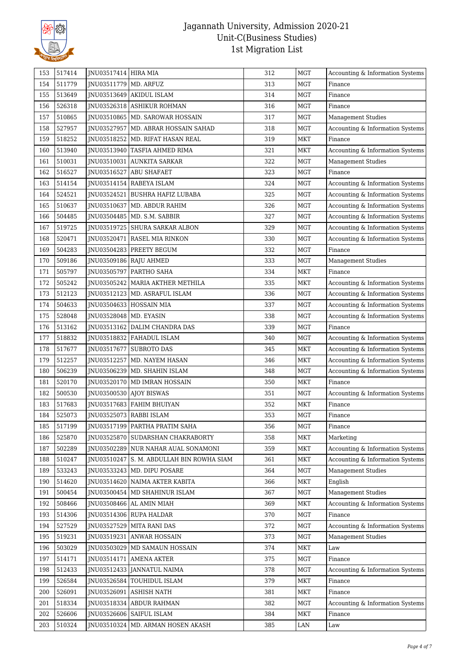

| 153 | 517414 | JNU03517414 HIRA MIA     |                                           | 312 | <b>MGT</b> | Accounting & Information Systems |
|-----|--------|--------------------------|-------------------------------------------|-----|------------|----------------------------------|
| 154 | 511779 | JNU03511779              | MD. ARFUZ                                 | 313 | MGT        | Finance                          |
| 155 | 513649 | JNU03513649              | <b>AKIDUL ISLAM</b>                       | 314 | <b>MGT</b> | Finance                          |
| 156 | 526318 |                          | JNU03526318   ASHIKUR ROHMAN              | 316 | <b>MGT</b> | Finance                          |
| 157 | 510865 |                          | JNU03510865   MD. SAROWAR HOSSAIN         | 317 | <b>MGT</b> | <b>Management Studies</b>        |
| 158 | 527957 |                          | JNU03527957   MD. ABRAR HOSSAIN SAHAD     | 318 | <b>MGT</b> | Accounting & Information Systems |
| 159 | 518252 | JNU03518252              | MD. RIFAT HASAN REAL                      | 319 | <b>MKT</b> | Finance                          |
| 160 | 513940 | JNU03513940              | TASFIA AHMED RIMA                         | 321 | MKT        | Accounting & Information Systems |
| 161 | 510031 |                          | JNU03510031 AUNKITA SARKAR                | 322 | <b>MGT</b> | <b>Management Studies</b>        |
| 162 | 516527 | JNU03516527              | <b>ABU SHAFAET</b>                        | 323 | <b>MGT</b> | Finance                          |
| 163 | 514154 | JNU03514154              | RABEYA ISLAM                              | 324 | <b>MGT</b> | Accounting & Information Systems |
| 164 | 524521 |                          | JNU03524521 BUSHRA HAFIZ LUBABA           | 325 | <b>MGT</b> | Accounting & Information Systems |
| 165 | 510637 |                          | JNU03510637   MD. ABDUR RAHIM             | 326 | <b>MGT</b> | Accounting & Information Systems |
| 166 | 504485 |                          | JNU03504485   MD. S.M. SABBIR             | 327 | <b>MGT</b> | Accounting & Information Systems |
| 167 | 519725 |                          | JNU03519725   SHURA SARKAR ALBON          | 329 | MGT        | Accounting & Information Systems |
| 168 | 520471 | JNU03520471              | RASEL MIA RINKON                          | 330 | <b>MGT</b> | Accounting & Information Systems |
| 169 | 504283 | JNU03504283              | PREETY BEGUM                              | 332 | <b>MGT</b> | Finance                          |
| 170 | 509186 |                          | JNU03509186 RAJU AHMED                    | 333 | <b>MGT</b> | <b>Management Studies</b>        |
| 171 | 505797 |                          | INU03505797   PARTHO SAHA                 | 334 | <b>MKT</b> | Finance                          |
| 172 | 505242 | JNU03505242              | MARIA AKTHER METHILA                      | 335 | <b>MKT</b> | Accounting & Information Systems |
| 173 | 512123 | JNU03512123              | MD. ASRAFUL ISLAM                         | 336 | <b>MGT</b> | Accounting & Information Systems |
| 174 | 504633 |                          | JNU03504633 HOSSAIN MIA                   | 337 | <b>MGT</b> | Accounting & Information Systems |
| 175 | 528048 | JNU03528048   MD. EYASIN |                                           | 338 | MGT        | Accounting & Information Systems |
| 176 | 513162 |                          | JNU03513162 DALIM CHANDRA DAS             | 339 | <b>MGT</b> | Finance                          |
| 177 | 518832 |                          | JNU03518832   FAHADUL ISLAM               | 340 | <b>MGT</b> | Accounting & Information Systems |
| 178 | 517677 | JNU03517677              | <b>SUBROTO DAS</b>                        | 345 | <b>MKT</b> | Accounting & Information Systems |
| 179 | 512257 | JNU03512257              | MD. NAYEM HASAN                           | 346 | MKT        | Accounting & Information Systems |
| 180 | 506239 |                          | JNU03506239   MD. SHAHIN ISLAM            | 348 | MGT        | Accounting & Information Systems |
| 181 | 520170 | JNU03520170              | MD IMRAN HOSSAIN                          | 350 | <b>MKT</b> | Finance                          |
| 182 | 500530 | JNU03500530              | <b>AJOY BISWAS</b>                        | 351 | MGT        | Accounting & Information Systems |
| 183 | 517683 |                          | JNU03517683 FAHIM BHUIYAN                 | 352 | <b>MKT</b> | Finance                          |
| 184 | 525073 |                          | JNU03525073   RABBI ISLAM                 | 353 | <b>MGT</b> | Finance                          |
| 185 | 517199 |                          | JNU03517199 PARTHA PRATIM SAHA            | 356 | <b>MGT</b> | Finance                          |
| 186 | 525870 |                          | JNU03525870   SUDARSHAN CHAKRABORTY       | 358 | <b>MKT</b> | Marketing                        |
| 187 | 502289 |                          | JNU03502289 NUR NAHAR AUAL SONAMONI       | 359 | <b>MKT</b> | Accounting & Information Systems |
| 188 | 510247 |                          | JNU03510247 S. M. ABDULLAH BIN ROWHA SIAM | 361 | <b>MKT</b> | Accounting & Information Systems |
| 189 | 533243 |                          | JNU03533243   MD. DIPU POSARE             | 364 | MGT        | <b>Management Studies</b>        |
| 190 | 514620 |                          | JNU03514620   NAIMA AKTER KABITA          | 366 | MKT        | English                          |
| 191 | 500454 | JNU03500454              | MD SHAHINUR ISLAM                         | 367 | MGT        | <b>Management Studies</b>        |
| 192 | 508466 |                          | JNU03508466 AL AMIN MIAH                  | 369 | MKT        | Accounting & Information Systems |
| 193 | 514306 |                          | JNU03514306 RUPA HALDAR                   | 370 | MGT        | Finance                          |
| 194 | 527529 | JNU03527529              | <b>MITA RANI DAS</b>                      | 372 | <b>MGT</b> | Accounting & Information Systems |
| 195 | 519231 | JNU03519231              | <b>ANWAR HOSSAIN</b>                      | 373 | MGT        | <b>Management Studies</b>        |
| 196 | 503029 |                          | JNU03503029   MD SAMAUN HOSSAIN           | 374 | <b>MKT</b> | Law                              |
| 197 | 514171 | JNU03514171              | <b>AMENA AKTER</b>                        | 375 | <b>MGT</b> | Finance                          |
| 198 | 512433 | JNU03512433              | JANNATUL NAIMA                            | 378 | MGT        | Accounting & Information Systems |
| 199 | 526584 | JNU03526584              | <b>TOUHIDUL ISLAM</b>                     | 379 | MKT        | Finance                          |
| 200 | 526091 | JNU03526091              | <b>ASHISH NATH</b>                        | 381 | MKT        | Finance                          |
| 201 | 518334 | JNU03518334              | ABDUR RAHMAN                              | 382 | MGT        | Accounting & Information Systems |
| 202 | 526606 | JNU03526606              | <b>SAIFUL ISLAM</b>                       | 384 | <b>MKT</b> | Finance                          |
| 203 | 510324 | JNU03510324              | MD. ARMAN HOSEN AKASH                     | 385 | LAN        | Law                              |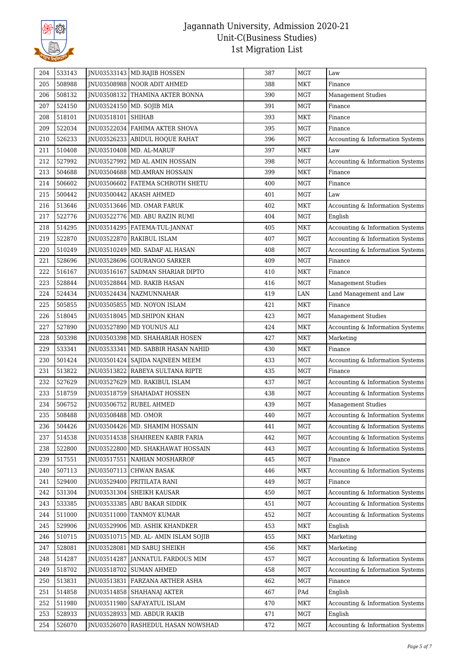

| 204        | 533143 |                            | INU03533143 MD.RAJIB HOSSEN            | 387        | MGT        | $_{\mbox{\footnotesize{Law}}}$   |
|------------|--------|----------------------------|----------------------------------------|------------|------------|----------------------------------|
| 205        | 508988 |                            | JNU03508988 NOOR ADIT AHMED            | 388        | MKT        | Finance                          |
| 206        | 508132 |                            | JNU03508132   THAMINA AKTER BONNA      | 390        | <b>MGT</b> | <b>Management Studies</b>        |
| 207        | 524150 |                            | JNU03524150   MD. SOJIB MIA            | 391        | <b>MGT</b> | Finance                          |
| 208        | 518101 | JNU03518101                | <b>SHIHAB</b>                          | 393        | <b>MKT</b> | Finance                          |
| 209        | 522034 |                            | JNU03522034   FAHIMA AKTER SHOVA       | 395        | <b>MGT</b> | Finance                          |
| 210        | 526233 |                            | JNU03526233   ABIDUL HOQUE RAHAT       | 396        | <b>MGT</b> | Accounting & Information Systems |
| 211        | 510408 | JNU03510408                | MD. AL-MARUF                           | 397        | MKT        | Law                              |
| 212        | 527992 |                            | JNU03527992   MD AL AMIN HOSSAIN       | 398        | MGT        | Accounting & Information Systems |
| 213        | 504688 |                            | JNU03504688   MD.AMRAN HOSSAIN         | 399        | <b>MKT</b> | Finance                          |
| 214        | 506602 |                            | JNU03506602 FATEMA SCHROTH SHETU       | 400        | <b>MGT</b> | Finance                          |
| 215        | 500442 |                            | JNU03500442 AKASH AHMED                | 401        | MGT        | Law                              |
| 216        | 513646 |                            | JNU03513646   MD. OMAR FARUK           | 402        | <b>MKT</b> | Accounting & Information Systems |
| 217        | 522776 |                            | JNU03522776   MD. ABU RAZIN RUMI       | 404        | MGT        | English                          |
| 218        | 514295 |                            | JNU03514295   FATEMA-TUL-JANNAT        | 405        | <b>MKT</b> | Accounting & Information Systems |
| 219        | 522870 |                            | JNU03522870 RAKIBUL ISLAM              | 407        | <b>MGT</b> | Accounting & Information Systems |
| 220        | 510249 | INU03510249                | MD. SADAF AL HASAN                     | 408        | <b>MGT</b> | Accounting & Information Systems |
| 221        | 528696 |                            | JNU03528696 GOURANGO SARKER            | 409        | <b>MGT</b> | Finance                          |
| 222        | 516167 | JNU03516167                | SADMAN SHARIAR DIPTO                   | 410        | <b>MKT</b> | Finance                          |
| 223        | 528844 | JNU03528844                | MD. RAKIB HASAN                        | 416        | MGT        | <b>Management Studies</b>        |
| 224        | 524434 |                            | JNU03524434   NAZMUNNAHAR              | 419        | LAN        | Land Management and Law          |
| 225        | 505855 |                            | JNU03505855   MD. NOYON ISLAM          | 421        | <b>MKT</b> | Finance                          |
| 226        | 518045 | JNU03518045                | MD. SHIPON KHAN                        | 423        | <b>MGT</b> | <b>Management Studies</b>        |
| 227        | 527890 | JNU03527890                | MD YOUNUS ALI                          | 424        | MKT        | Accounting & Information Systems |
| 228        | 503398 |                            | JNU03503398   MD. SHAHARIAR HOSEN      | 427        | <b>MKT</b> | Marketing                        |
| 229        | 533341 | JNU03533341                | MD. SABBIR HASAN NAHID                 | 430        | <b>MKT</b> | Finance                          |
| 230        | 501424 | JNU03501424                | SAJIDA NAJNEEN MEEM                    | 433        | MGT        | Accounting & Information Systems |
| 231        | 513822 |                            | JNU03513822   RABEYA SULTANA RIPTE     | 435        | MGT        | Finance                          |
| 232        | 527629 | JNU03527629                | MD. RAKIBUL ISLAM                      | 437        | <b>MGT</b> | Accounting & Information Systems |
| 233        | 518759 | JNU03518759                | SHAHADAT HOSSEN                        | 438        | <b>MGT</b> | Accounting & Information Systems |
| 234        | 506752 |                            | JNU03506752 RUBEL AHMED                | 439        | <b>MGT</b> | <b>Management Studies</b>        |
| 235        | 508488 | JNU03508488   MD. OMOR     |                                        | 440        | <b>MGT</b> | Accounting & Information Systems |
|            | 504426 |                            | JNU03504426   MD. SHAMIM HOSSAIN       | 441        | MGT        | Accounting & Information Systems |
| 236<br>237 | 514538 |                            |                                        | 442        | MGT        | Accounting & Information Systems |
|            | 522800 |                            | JNU03514538   SHAHREEN KABIR FARIA     |            | <b>MGT</b> | Accounting & Information Systems |
| 238        | 517551 | JNU03522800                | MD. SHAKHAWAT HOSSAIN                  | 443        | MGT        | Finance                          |
| 239<br>240 | 507113 | JNU03517551<br>JNU03507113 | NAHIAN MOSHARROF<br><b>CHWAN BASAK</b> | 445<br>446 | <b>MKT</b> | Accounting & Information Systems |
| 241        | 529400 | JNU03529400                | PRITILATA RANI                         | 449        | MGT        | Finance                          |
| 242        | 531304 | JNU03531304                | <b>SHEIKH KAUSAR</b>                   | 450        | <b>MGT</b> | Accounting & Information Systems |
| 243        | 533385 | JNU03533385                | <b>ABU BAKAR SIDDIK</b>                | 451        | MGT        | Accounting & Information Systems |
| 244        | 511000 | JNU03511000                | <b>TANMOY KUMAR</b>                    | 452        | MGT        | Accounting & Information Systems |
| 245        | 529906 | JNU03529906                | MD. ASHIK KHANDKER                     | 453        | MKT        | English                          |
| 246        | 510715 | JNU03510715                | MD. AL- AMIN ISLAM SOJIB               | 455        | MKT        | Marketing                        |
| 247        | 528081 | JNU03528081                | MD SABUJ SHEIKH                        | 456        | <b>MKT</b> | Marketing                        |
| 248        | 514287 | JNU03514287                | JANNATUL FARDOUS MIM                   | 457        | <b>MGT</b> | Accounting & Information Systems |
| 249        | 518702 | JNU03518702                | <b>SUMAN AHMED</b>                     | 458        | MGT        | Accounting & Information Systems |
| 250        | 513831 |                            | JNU03513831   FARZANA AKTHER ASHA      | 462        | MGT        | Finance                          |
|            | 514858 |                            |                                        | 467        |            |                                  |
| 251        |        | JNU03514858                | SHAHANAJ AKTER                         |            | PAd        | English                          |
| 252        | 511980 | JNU03511980                | SAFAYATUL ISLAM                        | 470        | <b>MKT</b> | Accounting & Information Systems |
| 253        | 528933 | JNU03528933                | MD. ABDUR RAKIB                        | 471        | MGT        | English                          |
| 254        | 526070 | JNU03526070                | RASHEDUL HASAN NOWSHAD                 | 472        | MGT        | Accounting & Information Systems |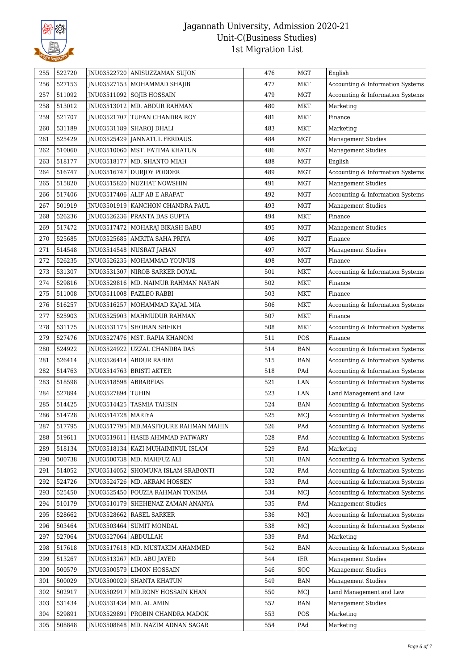

| 255 | 522720 |                        | JNU03522720 ANISUZZAMAN SUJON           | 476 | <b>MGT</b>                  | English                          |
|-----|--------|------------------------|-----------------------------------------|-----|-----------------------------|----------------------------------|
| 256 | 527153 |                        | JNU03527153   MOHAMMAD SHAJIB           | 477 | <b>MKT</b>                  | Accounting & Information Systems |
| 257 | 511092 |                        | JNU03511092 SOJIB HOSSAIN               | 479 | <b>MGT</b>                  | Accounting & Information Systems |
| 258 | 513012 |                        | JNU03513012   MD. ABDUR RAHMAN          | 480 | MKT                         | Marketing                        |
| 259 | 521707 |                        | JNU03521707 TUFAN CHANDRA ROY           | 481 | <b>MKT</b>                  | Finance                          |
| 260 | 531189 | JNU03531189            | SHAROJ DHALI                            | 483 | <b>MKT</b>                  | Marketing                        |
| 261 | 525429 |                        | JNU03525429 JANNATUL FERDAUS.           | 484 | MGT                         | <b>Management Studies</b>        |
| 262 | 510060 |                        | JNU03510060   MST. FATIMA KHATUN        | 486 | <b>MGT</b>                  | <b>Management Studies</b>        |
| 263 | 518177 |                        | INU03518177   MD. SHANTO MIAH           | 488 | <b>MGT</b>                  | English                          |
| 264 | 516747 | JNU03516747            | DURJOY PODDER                           | 489 | <b>MGT</b>                  | Accounting & Information Systems |
| 265 | 515820 | JNU03515820            | <b>NUZHAT NOWSHIN</b>                   | 491 | <b>MGT</b>                  | <b>Management Studies</b>        |
| 266 | 517406 |                        | JNU03517406 ALIF AB E ARAFAT            | 492 | <b>MGT</b>                  | Accounting & Information Systems |
| 267 | 501919 |                        | JNU03501919   KANCHON CHANDRA PAUL      | 493 | <b>MGT</b>                  | <b>Management Studies</b>        |
| 268 | 526236 |                        | JNU03526236   PRANTA DAS GUPTA          | 494 | MKT                         | Finance                          |
| 269 | 517472 |                        | JNU03517472   MOHARAJ BIKASH BABU       | 495 | MGT                         | <b>Management Studies</b>        |
| 270 | 525685 |                        | INU03525685   AMRITA SAHA PRIYA         | 496 | <b>MGT</b>                  | Finance                          |
| 271 | 514548 |                        | JNU03514548   NUSRAT JAHAN              | 497 | <b>MGT</b>                  | <b>Management Studies</b>        |
| 272 | 526235 |                        | INU03526235   MOHAMMAD YOUNUS           | 498 | <b>MGT</b>                  | Finance                          |
| 273 | 531307 |                        | JNU03531307 NIROB SARKER DOYAL          | 501 | <b>MKT</b>                  | Accounting & Information Systems |
| 274 | 529816 |                        | JNU03529816   MD. NAIMUR RAHMAN NAYAN   | 502 | MKT                         | Finance                          |
| 275 | 511008 |                        | JNU03511008 FAZLEO RABBI                | 503 | <b>MKT</b>                  | Finance                          |
| 276 | 516257 | JNU03516257            | MOHAMMAD KAJAL MIA                      | 506 | <b>MKT</b>                  | Accounting & Information Systems |
| 277 | 525903 |                        | JNU03525903   MAHMUDUR RAHMAN           | 507 | MKT                         | Finance                          |
| 278 | 531175 |                        | JNU03531175 SHOHAN SHEIKH               | 508 | <b>MKT</b>                  | Accounting & Information Systems |
| 279 | 527476 |                        | JNU03527476   MST. RAPIA KHANOM         | 511 | POS                         | Finance                          |
| 280 | 524922 | JNU03524922            | UZZAL CHANDRA DAS                       | 514 | $\ensuremath{\mathsf{BAN}}$ | Accounting & Information Systems |
| 281 | 526414 |                        | JNU03526414 ABDUR RAHIM                 | 515 | <b>BAN</b>                  | Accounting & Information Systems |
| 282 | 514763 |                        | JNU03514763   BRISTI AKTER              | 518 | $\mathop{\mathrm{PAd}}$     | Accounting & Information Systems |
| 283 | 518598 | JNU03518598            | <b>ABRARFIAS</b>                        | 521 | LAN                         | Accounting & Information Systems |
| 284 | 527894 | JNU03527894 TUHIN      |                                         | 523 | LAN                         | Land Management and Law          |
| 285 | 514425 |                        | JNU03514425   TASMIA TAHSIN             | 524 | <b>BAN</b>                  | Accounting & Information Systems |
| 286 | 514728 | JNU03514728   MARIYA   |                                         | 525 | MCJ                         | Accounting & Information Systems |
| 287 | 517795 |                        | JNU03517795   MD.MASFIQURE RAHMAN MAHIN | 526 | PAd                         | Accounting & Information Systems |
| 288 | 519611 |                        | INU03519611   HASIB AHMMAD PATWARY      | 528 | PAd                         | Accounting & Information Systems |
| 289 | 518134 |                        | JNU03518134   KAZI MUHAIMINUL ISLAM     | 529 | PAd                         | Marketing                        |
| 290 | 500738 |                        | JNU03500738   MD. MAHFUZ ALI            | 531 | <b>BAN</b>                  | Accounting & Information Systems |
| 291 | 514052 |                        | JNU03514052   SHOMUNA ISLAM SRABONTI    | 532 | PAd                         | Accounting & Information Systems |
| 292 | 524726 |                        | JNU03524726   MD. AKRAM HOSSEN          | 533 | PAd                         | Accounting & Information Systems |
| 293 | 525450 | JNU03525450            | FOUZIA RAHMAN TONIMA                    | 534 | MCJ                         | Accounting & Information Systems |
| 294 | 510179 | JNU03510179            | SHEHENAZ ZAMAN ANANYA                   | 535 | PAd                         | <b>Management Studies</b>        |
| 295 | 528662 | JNU03528662            | <b>RASEL SARKER</b>                     | 536 | MCJ                         | Accounting & Information Systems |
| 296 | 503464 |                        | JNU03503464   SUMIT MONDAL              | 538 | MCJ                         | Accounting & Information Systems |
| 297 | 527064 | JNU03527064   ABDULLAH |                                         | 539 | PAd                         | Marketing                        |
| 298 | 517618 |                        | JNU03517618   MD. MUSTAKIM AHAMMED      | 542 | <b>BAN</b>                  | Accounting & Information Systems |
| 299 | 513267 | JNU03513267            | MD. ABU JAYED                           | 544 | IER                         | Management Studies               |
| 300 | 500579 | JNU03500579            | <b>LIMON HOSSAIN</b>                    | 546 | SOC                         | <b>Management Studies</b>        |
| 301 | 500029 | JNU03500029            | <b>SHANTA KHATUN</b>                    | 549 | BAN                         | <b>Management Studies</b>        |
| 302 | 502917 | JNU03502917            | MD.RONY HOSSAIN KHAN                    | 550 | MCJ                         | Land Management and Law          |
| 303 | 531434 | JNU03531434            | MD. AL AMIN                             | 552 | <b>BAN</b>                  | <b>Management Studies</b>        |
| 304 | 529891 | JNU03529891            | PROBIN CHANDRA MADOK                    | 553 | POS                         | Marketing                        |
| 305 | 508848 | JNU03508848            | MD. NAZIM ADNAN SAGAR                   | 554 | PAd                         | Marketing                        |